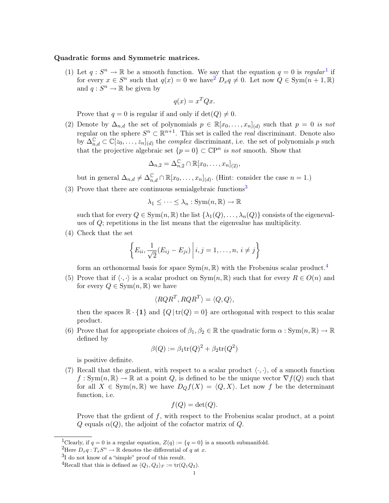## <span id="page-0-4"></span>Quadratic forms and Symmetric matrices.

([1](#page-0-0)) Let  $q: S^n \to \mathbb{R}$  be a smooth function. We say that the equation  $q = 0$  is regular<sup>1</sup> if for every  $x \in S^n$  such that  $q(x) = 0$  we have  $D_x q \neq 0$ . Let now  $Q \in \text{Sym}(n + 1, \mathbb{R})$ and  $q: S^n \to \mathbb{R}$  be given by

$$
q(x) = x^T Q x.
$$

Prove that  $q = 0$  is regular if and only if  $\det(Q) \neq 0$ .

(2) Denote by  $\Delta_{n,d}$  the set of polynomials  $p \in \mathbb{R}[x_0,\ldots,x_n]_{(d)}$  such that  $p=0$  is not regular on the sphere  $S^n \subset \mathbb{R}^{n+1}$ . This set is called the *real* discriminant. Denote also by  $\Delta_{n,d}^{\mathbb{C}} \subset \mathbb{C}[z_0,\ldots,z_n]_{(d)}$  the *complex* discriminant, i.e. the set of polynomials p such that the projective algebraic set  $\{p=0\} \subset \mathbb{C}P^n$  is not smooth. Show that

$$
\Delta_{n,2} = \Delta_{n,2}^{\mathbb{C}} \cap \mathbb{R}[x_0,\ldots,x_n]_{(2)},
$$

but in general  $\Delta_{n,d} \neq \Delta_{n,d}^{\mathbb{C}} \cap \mathbb{R}[x_0,\ldots,x_n]_{(d)}$ . (Hint: consider the case  $n = 1$ .)

([3](#page-0-2)) Prove that there are continuous semialgebraic functions<sup>3</sup>

 $\lambda_1 \leq \cdots \leq \lambda_n : \text{Sym}(n, \mathbb{R}) \to \mathbb{R}$ 

such that for every  $Q \in \text{Sym}(n, \mathbb{R})$  the list  $\{\lambda_1(Q), \ldots, \lambda_n(Q)\}$  consists of the eigenevalues of Q; repetitions in the list means that the eigenvalue has multiplicity.

(4) Check that the set

$$
\left\{E_{ii}, \frac{1}{\sqrt{2}}(E_{ij}-E_{ji})\,\middle|\, i,j=1,\ldots,n,\, i\neq j\right\}
$$

form an orthonormal basis for space  $Sym(n, \mathbb{R})$  with the Frobenius scalar product.<sup>[4](#page-0-3)</sup>

(5) Prove that if  $\langle \cdot, \cdot \rangle$  is a scalar product on Sym $(n, \mathbb{R})$  such that for every  $R \in O(n)$  and for every  $Q \in \text{Sym}(n, \mathbb{R})$  we have

$$
\langle RQR^T, RQR^T \rangle = \langle Q, Q \rangle,
$$

then the spaces  $\mathbb{R} \cdot \{1\}$  and  $\{Q | tr(Q) = 0\}$  are orthogonal with respect to this scalar product.

(6) Prove that for appropriate choices of  $\beta_1, \beta_2 \in \mathbb{R}$  the quadratic form  $\alpha : Sym(n, \mathbb{R}) \to \mathbb{R}$ defined by

$$
\beta(Q) := \beta_1 \text{tr}(Q)^2 + \beta_2 \text{tr}(Q^2)
$$

is positive definite.

(7) Recall that the gradient, with respect to a scalar product  $\langle \cdot, \cdot \rangle$ , of a smooth function  $f: Sym(n, \mathbb{R}) \to \mathbb{R}$  at a point Q, is defined to be the unique vector  $\nabla f(Q)$  such that for all  $X \in \text{Sym}(n, \mathbb{R})$  we have  $D_Q f(X) = \langle Q, X \rangle$ . Let now f be the determinant function, i.e.

$$
f(Q) = \det(Q).
$$

Prove that the gradient of  $f$ , with respect to the Frobenius scalar product, at a point Q equals  $\alpha(Q)$ , the adjoint of the cofactor matrix of Q.

<span id="page-0-0"></span><sup>&</sup>lt;sup>1</sup>Clearly, if  $q = 0$  is a regular equation,  $Z(q) := \{q = 0\}$  is a smooth submanifold.

<span id="page-0-1"></span><sup>&</sup>lt;sup>2</sup>Here  $D_x q: T_x S^n \to \mathbb{R}$  denotes the differential of q at x.

<span id="page-0-2"></span><sup>3</sup> I do not know of a "simple" proof of this result.

<span id="page-0-3"></span><sup>&</sup>lt;sup>4</sup>Recall that this is defined as  $\langle Q_1, Q_2\rangle_F := \text{tr}(Q_1Q_2)$ .